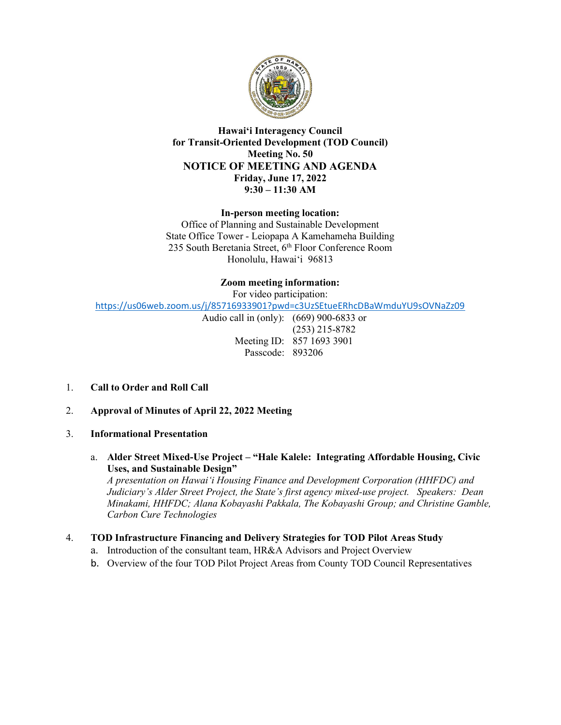

## Hawaiʻi Interagency Council for Transit-Oriented Development (TOD Council) Meeting No. 50 NOTICE OF MEETING AND AGENDA Friday, June 17, 2022 9:30 – 11:30 AM

In-person meeting location:

 Office of Planning and Sustainable Development State Office Tower - Leiopapa A Kamehameha Building 235 South Beretania Street, 6th Floor Conference Room Honolulu, Hawaiʻi 96813

# Zoom meeting information:

For video participation:

<https://us06web.zoom.us/j/85716933901?pwd=c3UzSEtueERhcDBaWmduYU9sOVNaZz09>

 Audio call in (only): (669) 900-6833 or (253) 215-8782 Meeting ID: 857 1693 3901 Passcode: 893206

- 1. Call to Order and Roll Call
- 2. Approval of Minutes of April 22, 2022 Meeting
- 3. Informational Presentation
	- a. Alder Street Mixed-Use Project "Hale Kalele: Integrating Affordable Housing, Civic Uses, and Sustainable Design"

 A presentation on Hawaiʻi Housing Finance and Development Corporation (HHFDC) and Judiciary's Alder Street Project, the State's first agency mixed-use project. Speakers: Dean Minakami, HHFDC; Alana Kobayashi Pakkala, The Kobayashi Group; and Christine Gamble, Carbon Cure Technologies

#### 4. TOD Infrastructure Financing and Delivery Strategies for TOD Pilot Areas Study

- a. Introduction of the consultant team, HR&A Advisors and Project Overview
- b. Overview of the four TOD Pilot Project Areas from County TOD Council Representatives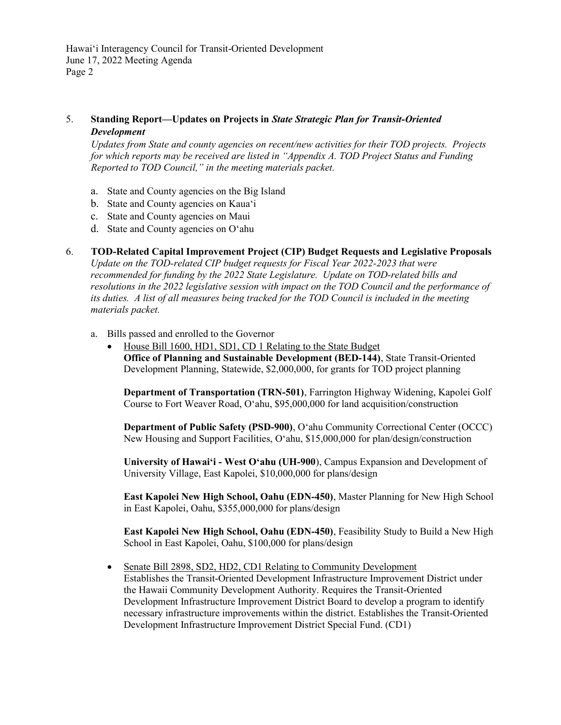## 5. Standing Report—Updates on Projects in State Strategic Plan for Transit-Oriented Development

 Updates from State and county agencies on recent/new activities for their TOD projects. Projects for which reports may be received are listed in "Appendix A. TOD Project Status and Funding Reported to TOD Council," in the meeting materials packet.

- a. State and County agencies on the Big Island
- b. State and County agencies on Kauaʻi
- c. State and County agencies on Maui
- d. State and County agencies on Oʻahu
- 6. TOD-Related Capital Improvement Project (CIP) Budget Requests and Legislative Proposals Update on the TOD-related CIP budget requests for Fiscal Year 2022-2023 that were recommended for funding by the 2022 State Legislature. Update on TOD-related bills and resolutions in the 2022 legislative session with impact on the TOD Council and the performance of its duties. A list of all measures being tracked for the TOD Council is included in the meeting materials packet.
	- a. Bills passed and enrolled to the Governor
		- House Bill 1600, HD1, SD1, CD 1 Relating to the State Budget Office of Planning and Sustainable Development (BED-144), State Transit-Oriented Development Planning, Statewide, \$2,000,000, for grants for TOD project planning

 Department of Transportation (TRN-501), Farrington Highway Widening, Kapolei Golf Course to Fort Weaver Road, Oʻahu, \$95,000,000 for land acquisition/construction

 Department of Public Safety (PSD-900), Oʻahu Community Correctional Center (OCCC) New Housing and Support Facilities, Oʻahu, \$15,000,000 for plan/design/construction

 University of Hawaiʻi - West Oʻahu (UH-900), Campus Expansion and Development of University Village, East Kapolei, \$10,000,000 for plans/design

 East Kapolei New High School, Oahu (EDN-450), Master Planning for New High School in East Kapolei, Oahu, \$355,000,000 for plans/design

 East Kapolei New High School, Oahu (EDN-450), Feasibility Study to Build a New High School in East Kapolei, Oahu, \$100,000 for plans/design

• Senate Bill 2898, SD2, HD2, CD1 Relating to Community Development Establishes the Transit-Oriented Development Infrastructure Improvement District under the Hawaii Community Development Authority. Requires the Transit-Oriented Development Infrastructure Improvement District Board to develop a program to identify necessary infrastructure improvements within the district. Establishes the Transit-Oriented Development Infrastructure Improvement District Special Fund. (CD1)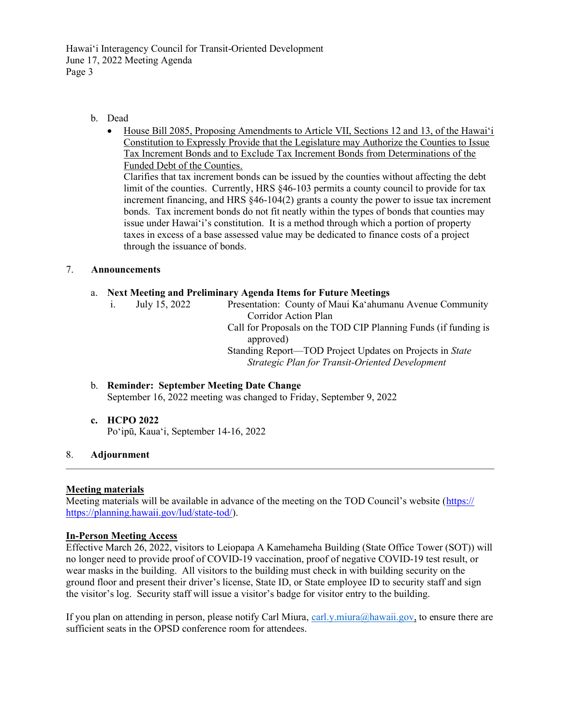Hawaiʻi Interagency Council for Transit-Oriented Development June 17, 2022 Meeting Agenda Page 3

### b. Dead

• House Bill 2085, Proposing Amendments to Article VII, Sections 12 and 13, of the Hawai'i Constitution to Expressly Provide that the Legislature may Authorize the Counties to Issue Tax Increment Bonds and to Exclude Tax Increment Bonds from Determinations of the Funded Debt of the Counties. Clarifies that tax increment bonds can be issued by the counties without affecting the debt limit of the counties. Currently, HRS §46-103 permits a county council to provide for tax increment financing, and HRS §46-104(2) grants a county the power to issue tax increment bonds. Tax increment bonds do not fit neatly within the types of bonds that counties may issue under Hawaiʻi's constitution. It is a method through which a portion of property taxes in excess of a base assessed value may be dedicated to finance costs of a project through the issuance of bonds.

#### 7. Announcements

### a. Next Meeting and Preliminary Agenda Items for Future Meetings

- July 15, 2022
- Corridor Action Plan i. July 15, 2022 Presentation: County of Maui Kaʻahumanu Avenue Community
	- Call for Proposals on the TOD CIP Planning Funds (if funding is approved)

Standing Report-TOD Project Updates on Projects in State Strategic Plan for Transit-Oriented Development

- b. Reminder: September Meeting Date Change September 16, 2022 meeting was changed to Friday, September 9, 2022
- c. HCPO 2022

Poʻipū, Kauaʻi, September 14-16, 2022

# 8. Adjournment

# Meeting materials

Meeting materials will be available in advance of the meeting on the TOD Council's website (https:// <https://planning.hawaii.gov/lud/state-tod>/).

# In-Person Meeting Access

 Effective March 26, 2022, visitors to Leiopapa A Kamehameha Building (State Office Tower (SOT)) will no longer need to provide proof of COVID-19 vaccination, proof of negative COVID-19 test result, or wear masks in the building. All visitors to the building must check in with building security on the ground floor and present their driver's license, State ID, or State employee ID to security staff and sign the visitor's log. Security staff will issue a visitor's badge for visitor entry to the building.

If you plan on attending in person, please notify Carl Miura, [carl.y.miura@hawaii.gov](mailto:carl.y.miura@hawaii.gov), to ensure there are sufficient seats in the OPSD conference room for attendees.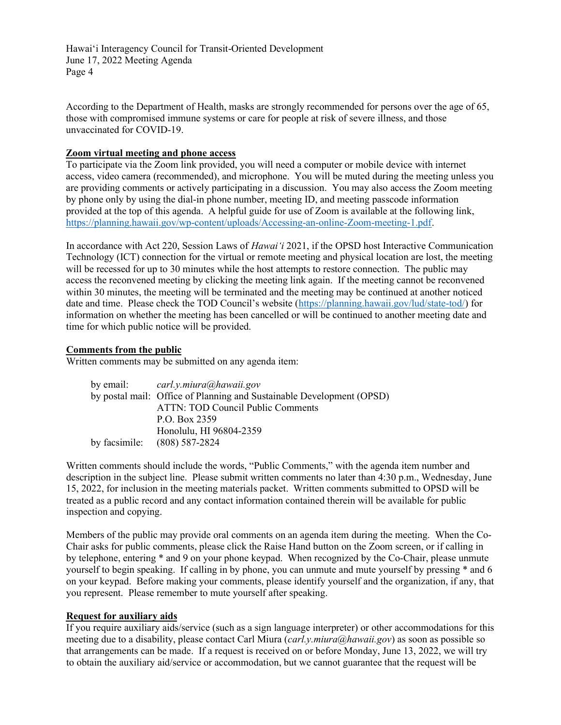Hawaiʻi Interagency Council for Transit-Oriented Development June 17, 2022 Meeting Agenda Page 4

 According to the Department of Health, masks are strongly recommended for persons over the age of 65, those with compromised immune systems or care for people at risk of severe illness, and those unvaccinated for COVID-19.

#### Zoom virtual meeting and phone access

 To participate via the Zoom link provided, you will need a computer or mobile device with internet access, video camera (recommended), and microphone. You will be muted during the meeting unless you are providing comments or actively participating in a discussion. You may also access the Zoom meeting by phone only by using the dial-in phone number, meeting ID, and meeting passcode information provided at the top of this agenda. A helpful guide for use of Zoom is available at the following link, <https://planning.hawaii.gov/wp-content/uploads/Accessing-an-online-Zoom-meeting-1.pdf>.

In accordance with Act 220, Session Laws of Hawai'i 2021, if the OPSD host Interactive Communication Technology (ICT) connection for the virtual or remote meeting and physical location are lost, the meeting will be recessed for up to 30 minutes while the host attempts to restore connection. The public may access the reconvened meeting by clicking the meeting link again. If the meeting cannot be reconvened within 30 minutes, the meeting will be terminated and the meeting may be continued at another noticed date and time. Please check the TOD Council's website (<https://planning.hawaii.gov/lud/state-tod>/) for information on whether the meeting has been cancelled or will be continued to another meeting date and time for which public notice will be provided.

#### Comments from the public

Written comments may be submitted on any agenda item:

| by email: $\qquad \qquad \text{card.} v \text{.} miura(\text{a})hawaii.gov$ |
|-----------------------------------------------------------------------------|
| by postal mail: Office of Planning and Sustainable Development (OPSD)       |
| <b>ATTN: TOD Council Public Comments</b>                                    |
| P.O. Box 2359                                                               |
| Honolulu, HI 96804-2359                                                     |
| by facsimile: $(808) 587-2824$                                              |

 Written comments should include the words, "Public Comments," with the agenda item number and description in the subject line. Please submit written comments no later than 4:30 p.m., Wednesday, June 15, 2022, for inclusion in the meeting materials packet. Written comments submitted to OPSD will be treated as a public record and any contact information contained therein will be available for public inspection and copying.

 Members of the public may provide oral comments on an agenda item during the meeting. When the Co- Chair asks for public comments, please click the Raise Hand button on the Zoom screen, or if calling in by telephone, entering \* and 9 on your phone keypad. When recognized by the Co-Chair, please unmute yourself to begin speaking. If calling in by phone, you can unmute and mute yourself by pressing \* and 6 on your keypad. Before making your comments, please identify yourself and the organization, if any, that you represent. Please remember to mute yourself after speaking.

#### Request for auxiliary aids

 If you require auxiliary aids/service (such as a sign language interpreter) or other accommodations for this meeting due to a disability, please contact Carl Miura ([carl.y.miura@hawaii.gov](mailto:carl.y.miura@hawaii.gov)) as soon as possible so that arrangements can be made. If a request is received on or before Monday, June 13, 2022, we will try to obtain the auxiliary aid/service or accommodation, but we cannot guarantee that the request will be